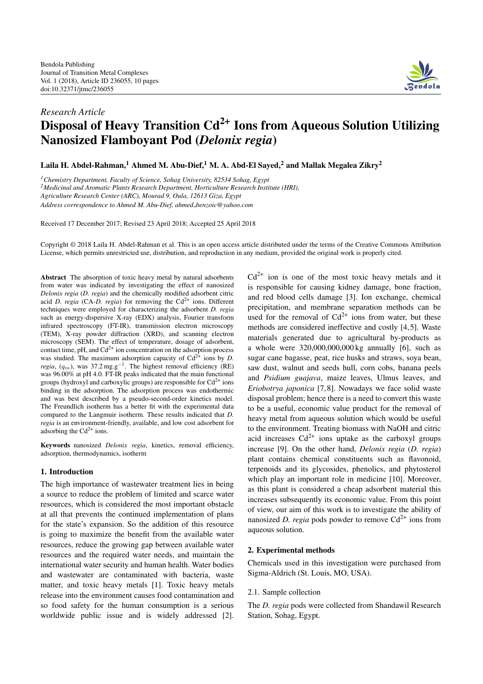

# *Research Article* **Disposal of Heavy Transition Cd2+ Ions from Aqueous Solution Utilizing Nanosized Flamboyant Pod (***Delonix regia***)**

**Laila H. Abdel-Rahman,<sup>1</sup> Ahmed M. Abu-Dief,<sup>1</sup> M. A. Abd-El Sayed,<sup>2</sup> and Mallak Megalea Zikry2**

*1Chemistry Department, Faculty of Science, Sohag University, 82534 Sohag, Egypt*

*2Medicinal and Aromatic Plants Research Department, Horticulture Research Institute (HRI),*

*Agriculture Research Center (ARC), Mourad 9, Oula, 12613 Giza, Egypt*

*Address correspondence to Ahmed M. Abu-Dief, ahmed benzoic@yahoo.com*

Received 17 December 2017; Revised 23 April 2018; Accepted 25 April 2018

Copyright © 2018 Laila H. Abdel-Rahman et al. This is an open access article distributed under the terms of the Creative Commons Attribution License, which permits unrestricted use, distribution, and reproduction in any medium, provided the original work is properly cited.

**Abstract** The absorption of toxic heavy metal by natural adsorbents from water was indicated by investigating the effect of nanosized *Delonix regia* (*D. regia*) and the chemically modified adsorbent citric acid *D. regia* (CA-*D. regia*) for removing the  $Cd^{2+}$  ions. Different techniques were employed for characterizing the adsorbent *D. regia* such as energy-dispersive X-ray (EDX) analysis, Fourier transform infrared spectroscopy (FT-IR), transmission electron microscopy (TEM), X-ray powder diffraction (XRD), and scanning electron microscopy (SEM). The effect of temperature, dosage of adsorbent, contact time,  $pH$ , and  $Cd^{2+}$  ion concentration on the adsorption process was studied. The maximum adsorption capacity of  $Cd^{2+}$  ions by *D*. *regia*,  $(q_m)$ , was 37.2 mg.g<sup>−1</sup>. The highest removal efficiency (RE) was 96.00% at pH 4.0. FT-IR peaks indicated that the main functional groups (hydroxyl and carboxylic groups) are responsible for  $Cd^{2+}$  ions binding in the adsorption. The adsorption process was endothermic and was best described by a pseudo-second-order kinetics model. The Freundlich isotherm has a better fit with the experimental data compared to the Langmuir isotherm. These results indicated that *D. regia* is an environment-friendly, available, and low cost adsorbent for adsorbing the  $Cd^{2+}$  ions.

**Keywords** nanosized *Delonix regia*, kinetics, removal efficiency, adsorption, thermodynamics, isotherm

# **1. Introduction**

The high importance of wastewater treatment lies in being a source to reduce the problem of limited and scarce water resources, which is considered the most important obstacle at all that prevents the continued implementation of plans for the state's expansion. So the addition of this resource is going to maximize the benefit from the available water resources, reduce the growing gap between available water resources and the required water needs, and maintain the international water security and human health. Water bodies and wastewater are contaminated with bacteria, waste matter, and toxic heavy metals [\[1\]](#page-8-1). Toxic heavy metals release into the environment causes food contamination and so food safety for the human consumption is a serious worldwide public issue and is widely addressed [\[2\]](#page-8-2).

 $Cd^{2+}$  ion is one of the most toxic heavy metals and it is responsible for causing kidney damage, bone fraction, and red blood cells damage [\[3\]](#page-8-3). Ion exchange, chemical precipitation, and membrane separation methods can be used for the removal of  $Cd^{2+}$  ions from water, but these methods are considered ineffective and costly [\[4,](#page-8-4)[5\]](#page-8-5). Waste materials generated due to agricultural by-products as a whole were 320,000,000,000 kg annually [\[6\]](#page-8-6), such as sugar cane bagasse, peat, rice husks and straws, soya bean, saw dust, walnut and seeds hull, corn cobs, banana peels and *Psidium guajava*, maize leaves, Ulmus leaves, and *Eriobotrya japonica* [\[7,](#page-8-7)[8\]](#page-8-8). Nowadays we face solid waste disposal problem; hence there is a need to convert this waste to be a useful, economic value product for the removal of heavy metal from aqueous solution which would be useful to the environment. Treating biomass with NaOH and citric acid increases  $Cd^{2+}$  ions uptake as the carboxyl groups increase [\[9\]](#page-8-9). On the other hand, *Delonix regia* (*D. regia*) plant contains chemical constituents such as flavonoid, terpenoids and its glycosides, phenolics, and phytosterol which play an important role in medicine [\[10\]](#page-8-10). Moreover, as this plant is considered a cheap adsorbent material this increases subsequently its economic value. From this point of view, our aim of this work is to investigate the ability of nanosized *D. regia* pods powder to remove  $Cd^{2+}$  ions from aqueous solution.

#### **2. Experimental methods**

Chemicals used in this investigation were purchased from Sigma-Aldrich (St. Louis, MO, USA).

#### 2.1. Sample collection

The *D. regia* pods were collected from Shandawil Research Station, Sohag, Egypt.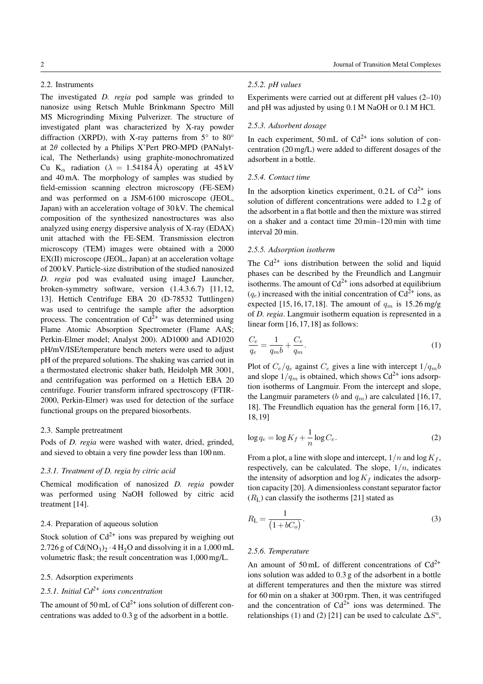# 2.2. Instruments

The investigated *D. regia* pod sample was grinded to nanosize using Retsch Muhle Brinkmann Spectro Mill MS Microgrinding Mixing Pulverizer. The structure of investigated plant was characterized by X-ray powder diffraction (XRPD), with X-ray patterns from  $5^{\circ}$  to  $80^{\circ}$ at  $2\theta$  collected by a Philips X'Pert PRO-MPD (PANalytical, The Netherlands) using graphite-monochromatized Cu K<sub>α</sub> radiation ( $\lambda = 1.54184 \text{ Å}$ ) operating at 45 kV and 40 mA. The morphology of samples was studied by field-emission scanning electron microscopy (FE-SEM) and was performed on a JSM-6100 microscope (JEOL, Japan) with an acceleration voltage of 30 kV. The chemical composition of the synthesized nanostructures was also analyzed using energy dispersive analysis of X-ray (EDAX) unit attached with the FE-SEM. Transmission electron microscopy (TEM) images were obtained with a 2000 EX(II) microscope (JEOL, Japan) at an acceleration voltage of 200 kV. Particle-size distribution of the studied nanosized *D. regia* pod was evaluated using imageJ Launcher, broken-symmetry software, version (1.4.3.6.7) [\[11,](#page-8-11)[12,](#page-8-12) [13\]](#page-8-13). Hettich Centrifuge EBA 20 (D-78532 Tuttlingen) was used to centrifuge the sample after the adsorption process. The concentration of  $Cd^{\bar{2}+}$  was determined using Flame Atomic Absorption Spectrometer (Flame AAS; Perkin-Elmer model; Analyst 200). AD1000 and AD1020 pH/mV/ISE/temperature bench meters were used to adjust pH of the prepared solutions. The shaking was carried out in a thermostated electronic shaker bath, Heidolph MR 3001, and centrifugation was performed on a Hettich EBA 20 centrifuge. Fourier transform infrared spectroscopy (FTIR-2000, Perkin-Elmer) was used for detection of the surface functional groups on the prepared biosorbents.

#### 2.3. Sample pretreatment

Pods of *D. regia* were washed with water, dried, grinded, and sieved to obtain a very fine powder less than 100 nm.

#### *2.3.1. Treatment of D. regia by citric acid*

Chemical modification of nanosized *D. regia* powder was performed using NaOH followed by citric acid treatment [\[14\]](#page-8-14).

# 2.4. Preparation of aqueous solution

Stock solution of  $Cd^{2+}$  ions was prepared by weighing out 2.726 g of  $Cd(NO<sub>3</sub>)<sub>2</sub> · 4 H<sub>2</sub>O$  and dissolving it in a 1,000 mL volumetric flask; the result concentration was 1,000 mg/L.

# 2.5. Adsorption experiments

# *2.5.1. Initial Cd2+ ions concentration*

The amount of 50 mL of  $Cd^{2+}$  ions solution of different concentrations was added to 0.3 g of the adsorbent in a bottle.

# *2.5.2. pH values*

Experiments were carried out at different pH values (2–10) and pH was adjusted by using 0.1 M NaOH or 0.1 M HCl.

# *2.5.3. Adsorbent dosage*

In each experiment,  $50 \text{ mL of } Cd^{2+}$  ions solution of concentration (20 mg/L) were added to different dosages of the adsorbent in a bottle.

#### *2.5.4. Contact time*

In the adsorption kinetics experiment,  $0.2 L$  of  $Cd^{2+}$  ions solution of different concentrations were added to 1.2 g of the adsorbent in a flat bottle and then the mixture was stirred on a shaker and a contact time 20 min–120 min with time interval 20 min.

#### *2.5.5. Adsorption isotherm*

The  $Cd^{2+}$  ions distribution between the solid and liquid phases can be described by the Freundlich and Langmuir isotherms. The amount of  $Cd^{2+}$  ions adsorbed at equilibrium  $(q_e)$  increased with the initial concentration of Cd<sup>2+</sup> ions, as expected [\[15,](#page-8-15)[16,](#page-8-16)[17,](#page-8-17)[18\]](#page-8-18). The amount of  $q_m$  is 15.26 mg/g of *D. regia*. Langmuir isotherm equation is represented in a linear form [\[16,](#page-8-16)[17,](#page-8-17)[18\]](#page-8-18) as follows:

<span id="page-1-0"></span>
$$
\frac{C_e}{q_e} = \frac{1}{q_m b} + \frac{C_e}{q_m}.\tag{1}
$$

Plot of  $C_e/q_e$  against  $C_e$  gives a line with intercept  $1/q_m b$ and slope  $1/q_m$  is obtained, which shows  $Cd^{2+}$  ions adsorption isotherms of Langmuir. From the intercept and slope, the Langmuir parameters (b and  $q_m$ ) are calculated [\[16,](#page-8-16)[17,](#page-8-17) [18\]](#page-8-18). The Freundlich equation has the general form [\[16,](#page-8-16)[17,](#page-8-17) [18,](#page-8-18)[19\]](#page-8-19)

<span id="page-1-1"></span>
$$
\log q_e = \log K_f + \frac{1}{n} \log C_e.
$$
 (2)

From a plot, a line with slope and intercept,  $1/n$  and  $\log K_f$ , respectively, can be calculated. The slope,  $1/n$ , indicates the intensity of adsorption and  $\log K_f$  indicates the adsorption capacity [\[20\]](#page-9-0). A dimensionless constant separator factor  $(R<sub>L</sub>)$  can classify the isotherms [\[21\]](#page-9-1) stated as

<span id="page-1-2"></span>
$$
R_{\rm L} = \frac{1}{\left(1 + bC_o\right)}.\tag{3}
$$

#### *2.5.6. Temperature*

An amount of 50 mL of different concentrations of  $Cd^{2+}$ ions solution was added to 0.3 g of the adsorbent in a bottle at different temperatures and then the mixture was stirred for 60 min on a shaker at 300 rpm. Then, it was centrifuged and the concentration of  $Cd^{2+}$  ions was determined. The relationships [\(1\)](#page-1-0) and [\(2\)](#page-1-1) [\[21\]](#page-9-1) can be used to calculate  $\Delta S^{\circ}$ ,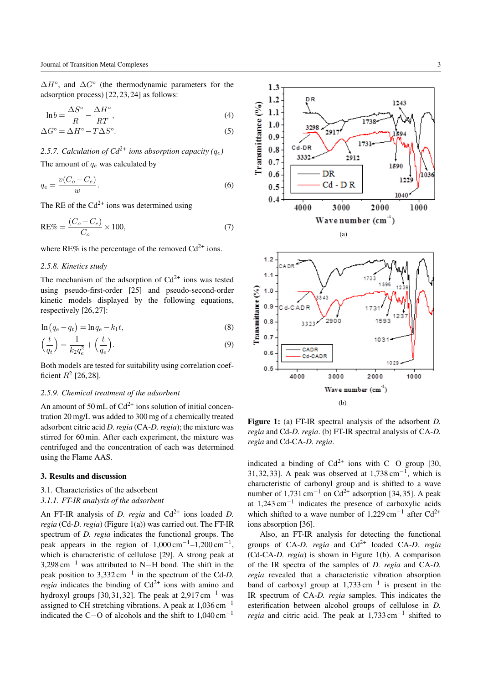$\Delta H^{\circ}$ , and  $\Delta G^{\circ}$  (the thermodynamic parameters for the adsorption process) [\[22,](#page-9-2)[23,](#page-9-3)[24\]](#page-9-4) as follows:

$$
\ln b = \frac{\Delta S^{\circ}}{R} - \frac{\Delta H^{\circ}}{RT},\tag{4}
$$

$$
\Delta G^{\circ} = \Delta H^{\circ} - T\Delta S^{\circ}.\tag{5}
$$

# 2.5.7. Calculation of  $Cd^{2+}$  *ions absorption capacity (q<sub>e</sub>)*

The amount of  $q_e$  was calculated by

$$
q_e = \frac{v(C_o - C_e)}{w}.\tag{6}
$$

The RE of the  $Cd^{2+}$  ions was determined using

$$
RE\% = \frac{(C_o - C_e)}{C_o} \times 100,\tag{7}
$$

where RE% is the percentage of the removed  $Cd^{2+}$  ions.

# *2.5.8. Kinetics study*

The mechanism of the adsorption of  $Cd^{2+}$  ions was tested using pseudo-first-order [\[25\]](#page-9-5) and pseudo-second-order kinetic models displayed by the following equations, respectively [\[26,](#page-9-6)[27\]](#page-9-7):

$$
\ln (q_e - q_t) = \ln q_e - k_1 t,\tag{8}
$$

$$
\left(\frac{t}{q_t}\right) = \frac{1}{k_2 q_e^2} + \left(\frac{t}{q_e}\right). \tag{9}
$$

Both models are tested for suitability using correlation coefficient  $R^2$  [\[26,](#page-9-6)[28\]](#page-9-8).

#### *2.5.9. Chemical treatment of the adsorbent*

An amount of 50 mL of  $Cd^{2+}$  ions solution of initial concentration 20 mg/L was added to 300 mg of a chemically treated adsorbent citric acid *D. regia* (CA-*D. regia*); the mixture was stirred for 60 min. After each experiment, the mixture was centrifuged and the concentration of each was determined using the Flame AAS.

#### **3. Results and discussion**

#### 3.1. Characteristics of the adsorbent

#### *3.1.1. FT-IR analysis of the adsorbent*

An FT-IR analysis of *D. regia* and  $Cd^{2+}$  ions loaded *D. regia* (Cd-*D. regia*) (Figure [1\(](#page-2-0)a)) was carried out. The FT-IR spectrum of *D. regia* indicates the functional groups. The peak appears in the region of 1,000 cm*−*1–1,200 cm*−*1, which is characteristic of cellulose [\[29\]](#page-9-9). A strong peak at 3,298 cm*−*<sup>1</sup> was attributed to N*−*H bond. The shift in the peak position to 3,332 cm*−*<sup>1</sup> in the spectrum of the Cd-*D. regia* indicates the binding of  $Cd^{2+}$  ions with amino and hydroxyl groups [\[30,](#page-9-10)[31,](#page-9-11)[32\]](#page-9-12). The peak at 2,917 cm*−*<sup>1</sup> was assigned to CH stretching vibrations. A peak at 1,036 cm*−*<sup>1</sup> indicated the C*−*O of alcohols and the shift to 1,040 cm*−*<sup>1</sup>



<span id="page-2-0"></span>**Figure 1:** (a) FT-IR spectral analysis of the adsorbent *D. regia* and Cd-*D. regia*. (b) FT-IR spectral analysis of CA-*D. regia* and Cd-CA-*D. regia*.

indicated a binding of  $Cd^{2+}$  ions with C−O group [\[30,](#page-9-10) [31,](#page-9-11)[32,](#page-9-12)[33\]](#page-9-13). A peak was observed at 1,738 cm*−*1, which is characteristic of carbonyl group and is shifted to a wave number of 1,731 cm<sup>−1</sup> on Cd<sup>2+</sup> adsorption [\[34,](#page-9-14)[35\]](#page-9-15). A peak at 1,243 cm*−*<sup>1</sup> indicates the presence of carboxylic acids which shifted to a wave number of 1,229 cm<sup>−1</sup> after Cd<sup>2+</sup> ions absorption [\[36\]](#page-9-16).

Also, an FT-IR analysis for detecting the functional groups of CA-*D. regia* and Cd<sup>2+</sup> loaded CA-*D. regia* (Cd-CA-*D. regia*) is shown in Figure [1\(](#page-2-0)b). A comparison of the IR spectra of the samples of *D. regia* and CA-*D. regia* revealed that a characteristic vibration absorption band of carboxyl group at 1,733 cm*−*<sup>1</sup> is present in the IR spectrum of CA-*D. regia* samples. This indicates the esterification between alcohol groups of cellulose in *D. regia* and citric acid. The peak at 1,733 cm*−*<sup>1</sup> shifted to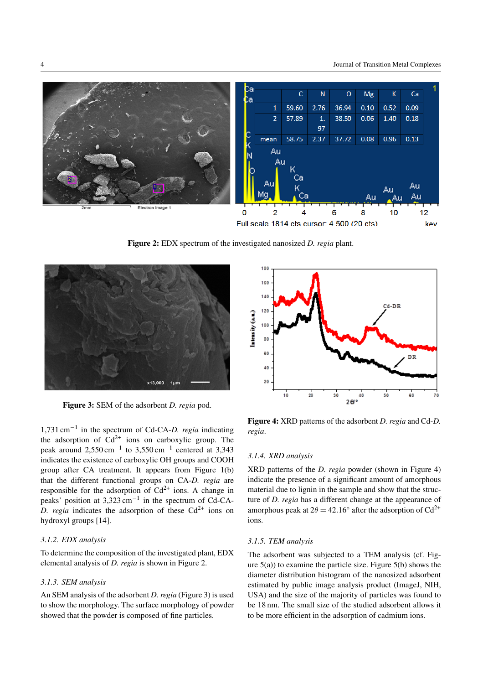

<span id="page-3-0"></span>**Figure 2:** EDX spectrum of the investigated nanosized *D. regia* plant.



<span id="page-3-1"></span>**Figure 3:** SEM of the adsorbent *D. regia* pod.

1,731 cm*−*<sup>1</sup> in the spectrum of Cd-CA-*D. regia* indicating the adsorption of  $Cd^{2+}$  ions on carboxylic group. The peak around 2,550 cm*−*<sup>1</sup> to 3,550 cm*−*<sup>1</sup> centered at 3,343 indicates the existence of carboxylic OH groups and COOH group after CA treatment. It appears from Figure [1\(](#page-2-0)b) that the different functional groups on CA-*D. regia* are responsible for the adsorption of  $Cd^{2+}$  ions. A change in peaks' position at 3,323 cm*−*<sup>1</sup> in the spectrum of Cd-CA-*D. regia* indicates the adsorption of these  $Cd^{2+}$  ions on hydroxyl groups [\[14\]](#page-8-14).

# *3.1.2. EDX analysis*

To determine the composition of the investigated plant, EDX elemental analysis of *D. regia* is shown in Figure [2.](#page-3-0)

# *3.1.3. SEM analysis*

An SEM analysis of the adsorbent *D. regia* (Figure [3\)](#page-3-1) is used to show the morphology. The surface morphology of powder showed that the powder is composed of fine particles.



<span id="page-3-2"></span>**Figure 4:** XRD patterns of the adsorbent *D. regia* and Cd-*D. regia*.

#### *3.1.4. XRD analysis*

XRD patterns of the *D. regia* powder (shown in Figure [4\)](#page-3-2) indicate the presence of a significant amount of amorphous material due to lignin in the sample and show that the structure of *D. regia* has a different change at the appearance of amorphous peak at  $2\theta = 42.16^{\circ}$  after the adsorption of Cd<sup>2+</sup> ions.

# *3.1.5. TEM analysis*

The adsorbent was subjected to a TEM analysis (cf. Figure  $5(a)$ ) to examine the particle size. Figure  $5(b)$  shows the diameter distribution histogram of the nanosized adsorbent estimated by public image analysis product (ImageJ, NIH, USA) and the size of the majority of particles was found to be 18 nm. The small size of the studied adsorbent allows it to be more efficient in the adsorption of cadmium ions.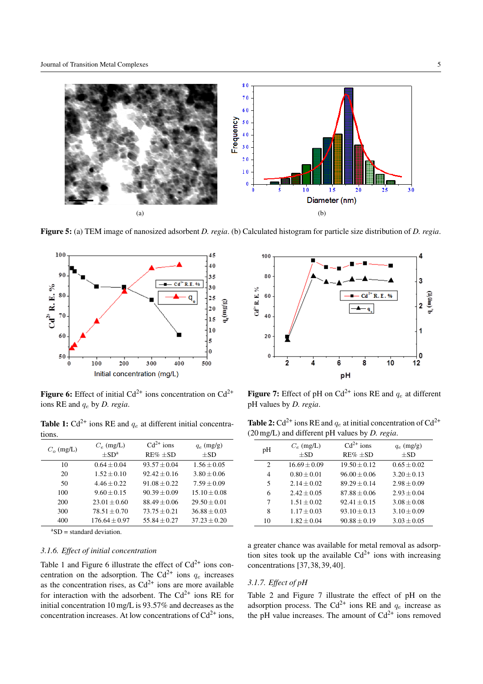

<span id="page-4-0"></span>**Figure 5:** (a) TEM image of nanosized adsorbent *D. regia*. (b) Calculated histogram for particle size distribution of *D. regia*.



<span id="page-4-2"></span>**Figure 6:** Effect of initial  $Cd^{2+}$  ions concentration on  $Cd^{2+}$ ions RE and q<sup>e</sup> by *D. regia*.

**Table 1:**  $Cd^{2+}$  ions RE and  $q_e$  at different initial concentrations.

<span id="page-4-1"></span>

| $C_o$ (mg/L) | $C_e$ (mg/L)    | $Cd^{2+}$ ions | $q_e$ (mg/g)     |
|--------------|-----------------|----------------|------------------|
|              | $+SDa$          | $RE\% \pm SD$  | $+SD$            |
| 10           | $0.64 + 0.04$   | $93.57 + 0.04$ | $1.56 + 0.05$    |
| 20           | $1.52 + 0.10$   | $92.42 + 0.16$ | $3.80 \pm 0.06$  |
| 50           | $4.46 + 0.22$   | $91.08 + 0.22$ | $7.59 \pm 0.09$  |
| 100          | $9.60 + 0.15$   | $90.39 + 0.09$ | $15.10 + 0.08$   |
| 200          | $23.01 + 0.60$  | $88.49 + 0.06$ | $29.50 + 0.01$   |
| 300          | $78.51 + 0.70$  | $73.75 + 0.21$ | $36.88 + 0.03$   |
| 400          | $176.64 + 0.97$ | $55.84 + 0.27$ | $37.23 \pm 0.20$ |

 ${}^{\text{a}}SD$  = standard deviation.

# *3.1.6. Effect of initial concentration*

Table [1](#page-4-1) and Figure [6](#page-4-2) illustrate the effect of  $Cd^{2+}$  ions concentration on the adsorption. The Cd<sup>2+</sup> ions  $q_e$  increases as the concentration rises, as  $Cd^{2+}$  ions are more available for interaction with the adsorbent. The  $Cd^{2+}$  ions RE for initial concentration 10 mg/L is 93.57% and decreases as the concentration increases. At low concentrations of  $Cd^{2+}$  ions,



<span id="page-4-4"></span>**Figure 7:** Effect of pH on  $Cd^{2+}$  ions RE and  $q_e$  at different pH values by *D. regia*.

**Table 2:**  $Cd^{2+}$  ions RE and  $q_e$  at initial concentration of  $Cd^{2+}$ (20 mg/L) and different pH values by *D. regia*.

<span id="page-4-3"></span>

| pН | $C_e$ (mg/L)     | $Cd^{2+}$ ions   | $q_e$ (mg/g)    |
|----|------------------|------------------|-----------------|
|    | $\pm$ SD         | $RE\% \pm SD$    | $\pm$ SD        |
| 2  | $16.69 \pm 0.09$ | $19.50 \pm 0.12$ | $0.65 \pm 0.02$ |
| 4  | $0.80 \pm 0.01$  | $96.00 \pm 0.06$ | $3.20 \pm 0.13$ |
| 5  | $2.14 + 0.02$    | $89.29 + 0.14$   | $2.98 \pm 0.09$ |
| 6  | $2.42 + 0.05$    | $87.88 + 0.06$   | $2.93 \pm 0.04$ |
| 7  | $1.51 \pm 0.02$  | $92.41 \pm 0.15$ | $3.08 \pm 0.08$ |
| 8  | $1.17 \pm 0.03$  | $93.10 \pm 0.13$ | $3.10 \pm 0.09$ |
| 10 | $1.82 + 0.04$    | $90.88 \pm 0.19$ | $3.03 \pm 0.05$ |

a greater chance was available for metal removal as adsorption sites took up the available  $Cd^{2+}$  ions with increasing concentrations [\[37,](#page-9-17)[38,](#page-9-18)[39,](#page-9-19)[40\]](#page-9-20).

#### *3.1.7. Effect of pH*

Table [2](#page-4-3) and Figure [7](#page-4-4) illustrate the effect of pH on the adsorption process. The Cd<sup>2+</sup> ions RE and  $q_e$  increase as the pH value increases. The amount of  $Cd^{2+}$  ions removed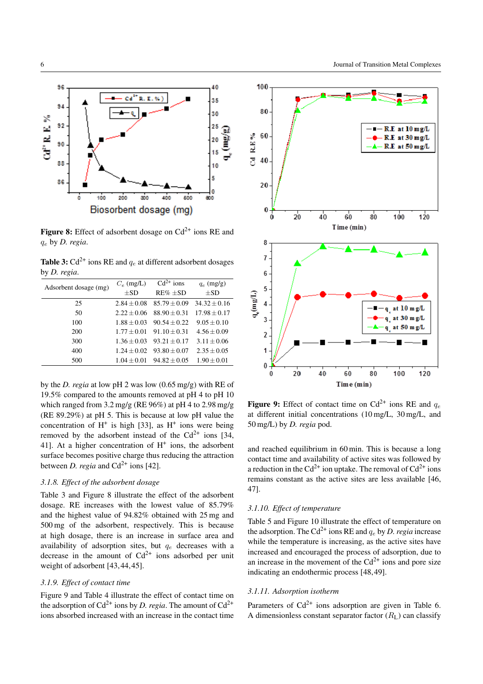

<span id="page-5-1"></span>**Figure 8:** Effect of adsorbent dosage on  $Cd^{2+}$  ions RE and q<sup>e</sup> by *D. regia*.

<span id="page-5-0"></span>**Table 3:**  $Cd^{2+}$  ions RE and  $q_e$  at different adsorbent dosages by *D. regia*.

| Adsorbent dosage (mg) | $C_e$ (mg/L)    | $Cd^{2+}$ ions   | $q_e$ (mg/g)     |
|-----------------------|-----------------|------------------|------------------|
|                       | $+SD$           | $RE\% \pm SD$    | $+SD$            |
| 25                    | $2.84 + 0.08$   | $85.79 + 0.09$   | $34.32 \pm 0.16$ |
| 50                    | $2.22 + 0.06$   | $88.90 + 0.31$   | $17.98 + 0.17$   |
| 100                   | $1.88 + 0.03$   | $90.54 + 0.22$   | $9.05 + 0.10$    |
| 200                   | $1.77 + 0.01$   | $91.10 + 0.31$   | $4.56 \pm 0.09$  |
| 300                   | $1.36 + 0.03$   | $93.21 \pm 0.17$ | $3.11 + 0.06$    |
| 400                   | $1.24 \pm 0.02$ | $93.80 \pm 0.07$ | $2.35 + 0.05$    |
| 500                   | $1.04 \pm 0.01$ | $94.82 \pm 0.05$ | $1.90 \pm 0.01$  |

by the *D. regia* at low pH 2 was low (0.65 mg/g) with RE of 19.5% compared to the amounts removed at pH 4 to pH 10 which ranged from 3.2 mg/g (RE 96%) at pH 4 to 2.98 mg/g (RE 89.29%) at pH 5. This is because at low pH value the concentration of  $H^+$  is high [\[33\]](#page-9-13), as  $H^+$  ions were being removed by the adsorbent instead of the  $Cd^{2+}$  ions [\[34,](#page-9-14) 411. At a higher concentration of  $H^+$  ions, the adsorbent surface becomes positive charge thus reducing the attraction between *D. regia* and  $Cd^{2+}$  ions [\[42\]](#page-9-22).

# *3.1.8. Effect of the adsorbent dosage*

Table [3](#page-5-0) and Figure [8](#page-5-1) illustrate the effect of the adsorbent dosage. RE increases with the lowest value of 85.79% and the highest value of 94.82% obtained with 25 mg and 500 mg of the adsorbent, respectively. This is because at high dosage, there is an increase in surface area and availability of adsorption sites, but  $q_e$  decreases with a decrease in the amount of  $Cd^{2+}$  ions adsorbed per unit weight of adsorbent [\[43,](#page-9-23)[44,](#page-9-24)[45\]](#page-9-25).

#### *3.1.9. Effect of contact time*

Figure [9](#page-5-2) and Table [4](#page-6-0) illustrate the effect of contact time on the adsorption of  $Cd^{2+}$  ions by *D. regia*. The amount of  $Cd^{2+}$ ions absorbed increased with an increase in the contact time



<span id="page-5-2"></span>**Figure 9:** Effect of contact time on  $Cd^{2+}$  ions RE and  $q_e$ at different initial concentrations (10 mg/L, 30 mg/L, and 50 mg/L) by *D. regia* pod.

and reached equilibrium in 60 min. This is because a long contact time and availability of active sites was followed by a reduction in the Cd<sup>2+</sup> ion uptake. The removal of Cd<sup>2+</sup> ions remains constant as the active sites are less available [\[46,](#page-9-26) [47\]](#page-9-27).

## *3.1.10. Effect of temperature*

Table [5](#page-6-1) and Figure [10](#page-6-2) illustrate the effect of temperature on the adsorption. The Cd<sup>2+</sup> ions RE and  $q_e$  by *D. regia* increase while the temperature is increasing, as the active sites have increased and encouraged the process of adsorption, due to an increase in the movement of the  $Cd^{2+}$  ions and pore size indicating an endothermic process [\[48,](#page-9-28)[49\]](#page-9-29).

# *3.1.11. Adsorption isotherm*

Parameters of  $Cd^{2+}$  ions adsorption are given in Table [6.](#page-6-3) A dimensionless constant separator factor  $(R<sub>L</sub>)$  can classify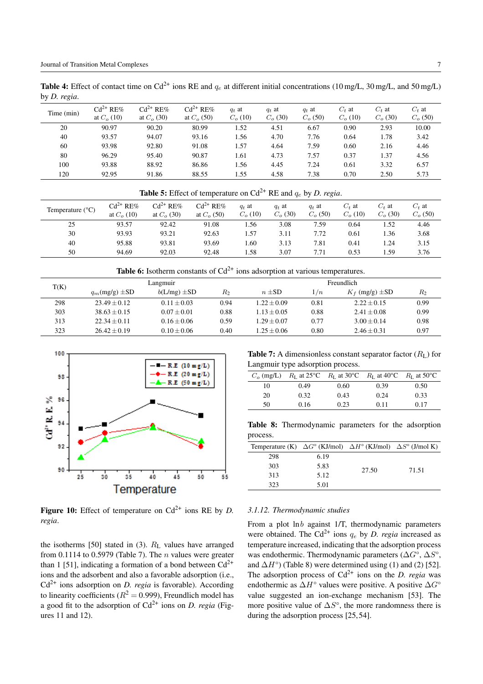<span id="page-6-0"></span>**Table 4:** Effect of contact time on Cd<sup>2+</sup> ions RE and  $q_e$  at different initial concentrations (10 mg/L, 30 mg/L, and 50 mg/L) by *D. regia*.

| Time (min) | $Cd^{2+}$<br>$R$ E $%$<br>at $C_{\alpha}$ (10) | $Cd^{2+} RE\%$<br>at $C_{\alpha}$ (30) | $Cd^{2+} RE\%$<br>at $C_{\alpha}$ (50) | $q_t$ at<br>$C_{\rm o}$ (10) | $q_t$ at<br>$C_{\alpha}$ (30) | $q_t$ at<br>$C_{\alpha}$ (50) | $C_t$ at<br>$C_{\rm o}$ (10) | $C_t$ at<br>$C_{\alpha}$ (30) | $C_t$ at<br>$C_{\alpha}$ (50) |
|------------|------------------------------------------------|----------------------------------------|----------------------------------------|------------------------------|-------------------------------|-------------------------------|------------------------------|-------------------------------|-------------------------------|
| 20         | 90.97                                          | 90.20                                  | 80.99                                  | 1.52                         | 4.51                          | 6.67                          | 0.90                         | 2.93                          | 10.00                         |
| 40         | 93.57                                          | 94.07                                  | 93.16                                  | .56                          | 4.70                          | 7.76                          | 0.64                         | 1.78                          | 3.42                          |
| 60         | 93.98                                          | 92.80                                  | 91.08                                  | 1.57                         | 4.64                          | 7.59                          | 0.60                         | 2.16                          | 4.46                          |
| 80         | 96.29                                          | 95.40                                  | 90.87                                  | 1.61                         | 4.73                          | 7.57                          | 0.37                         | 1.37                          | 4.56                          |
| 100        | 93.88                                          | 88.92                                  | 86.86                                  | l.56                         | 4.45                          | 7.24                          | 0.61                         | 3.32                          | 6.57                          |
| 120        | 92.95                                          | 91.86                                  | 88.55                                  | 1.55                         | 4.58                          | 7.38                          | 0.70                         | 2.50                          | 5.73                          |

# <span id="page-6-1"></span>**Table 5:** Effect of temperature on  $Cd^{2+}$  RE and  $q_e$  by *D. regia.*

| Temperature $(^{\circ}C)$ | $Cd^{2+} RE\%$<br>at $C_{\alpha}$ (10) | $Cd^{2+} RE\%$<br>at $C_{0}$ (30) | $Cd^{2+} RE\%$<br>at $C_{0}$ (50) | $q_t$ at<br>$C_{o}$ (10) | $q_t$ at<br>$C_{o}$ (30) | $q_t$ at<br>$C_{\alpha}$ (50) | $C_t$ at<br>$C_{\rm o}$ (10) | $C_{t}$ at<br>$C_{\alpha}$ (30) | $C_t$ at<br>$C_{\alpha}$ (50) |
|---------------------------|----------------------------------------|-----------------------------------|-----------------------------------|--------------------------|--------------------------|-------------------------------|------------------------------|---------------------------------|-------------------------------|
| 25                        | 93.57                                  | 92.42                             | 91.08                             | . . 56                   | 3.08                     | 7.59                          | 0.64                         | 1.52                            | 4.46                          |
| 30                        | 93.93                                  | 93.21                             | 92.63                             | . . 57                   | 3.11                     | 7.72                          | 0.61                         | 1.36                            | 3.68                          |
| 40                        | 95.88                                  | 93.81                             | 93.69                             | .60                      | 3.13                     | 7.81                          | 0.41                         | 1.24                            | 3.15                          |
| 50                        | 94.69                                  | 92.03                             | 92.48                             | .58                      | 3.07                     | 7.71                          | 0.53                         | . .59                           | 3.76                          |

<span id="page-6-3"></span>**Table 6:** Isotherm constants of  $Cd^{2+}$  ions adsorption at various temperatures.

| T(K) |                    | Langmuir         |       |               | Freundlich          |                       |       |  |
|------|--------------------|------------------|-------|---------------|---------------------|-----------------------|-------|--|
|      | $q_m(mg/g) \pm SD$ | $b(L/mg) \pm SD$ | $R_2$ | $n \pm SD$    | $\lfloor/n \rfloor$ | $K_f$ (mg/g) $\pm$ SD | $R_2$ |  |
| 298  | $23.49 + 0.12$     | $0.11 + 0.03$    | 0.94  | $1.22 + 0.09$ | 0.81                | $2.22 + 0.15$         | 0.99  |  |
| 303  | $38.63 + 0.15$     | $0.07 + 0.01$    | 0.88  | $1.13 + 0.05$ | 0.88                | $2.41 + 0.08$         | 0.99  |  |
| 313  | $22.34 + 0.11$     | $0.16 + 0.06$    | 0.59  | $1.29 + 0.07$ | 0.77                | $3.00 + 0.14$         | 0.98  |  |
| 323  | $26.42 + 0.19$     | $0.10 + 0.06$    | 0.40  | $1.25 + 0.06$ | 0.80                | $2.46 + 0.31$         | 0.97  |  |



<span id="page-6-2"></span>**Figure 10:** Effect of temperature on  $Cd^{2+}$  ions RE by *D*. *regia*.

the isotherms [\[50\]](#page-9-30) stated in  $(3)$ .  $R<sub>L</sub>$  values have arranged from 0.1114 to 0.5979 (Table [7\)](#page-6-4). The  $n$  values were greater than 1 [\[51\]](#page-9-31), indicating a formation of a bond between  $Cd^{2+}$ ions and the adsorbent and also a favorable adsorption (i.e.,  $Cd<sup>2+</sup>$  ions adsorption on *D. regia* is favorable). According to linearity coefficients ( $R^2 = 0.999$ ), Freundlich model has a good fit to the adsorption of  $Cd^{2+}$  ions on *D. regia* (Figures [11](#page-7-0) and [12\)](#page-7-1).

<span id="page-6-4"></span>**Table 7:** A dimensionless constant separator factor  $(R<sub>L</sub>)$  for Langmuir type adsorption process.

| $Co$ (mg/L) |      | $R_L$ at 25°C $R_L$ at 30°C $R_L$ at 40°C $R_L$ at 50°C |      |      |
|-------------|------|---------------------------------------------------------|------|------|
| 10          | 0.49 | 0.60                                                    | 0.39 | 0.50 |
| 20          | 0.32 | 0.43                                                    | 0.24 | 0.33 |
| 50          | 0.16 | 0.23                                                    | 0.11 | 0.17 |

**Table 8:** Thermodynamic parameters for the adsorption process.

<span id="page-6-5"></span>

| Temperature (K) $\Delta G^{\circ}$ (KJ/mol) $\Delta H^{\circ}$ (KJ/mol) $\Delta S^{\circ}$ (J/mol K) |      |       |       |
|------------------------------------------------------------------------------------------------------|------|-------|-------|
| 298                                                                                                  | 6.19 |       |       |
| 303                                                                                                  | 5.83 | 27.50 | 71.51 |
| 313                                                                                                  | 5.12 |       |       |
| 323                                                                                                  | 5.01 |       |       |

#### *3.1.12. Thermodynamic studies*

From a plot  $\ln b$  against 1/T, thermodynamic parameters were obtained. The Cd<sup>2+</sup> ions  $q_e$  by *D. regia* increased as temperature increased, indicating that the adsorption process was endothermic. Thermodynamic parameters ( $\Delta G^{\circ}$ ,  $\Delta S^{\circ}$ , and  $\Delta H^{\circ}$ ) (Table [8\)](#page-6-5) were determined using [\(1\)](#page-1-0) and [\(2\)](#page-1-1) [\[52\]](#page-9-32). The adsorption process of  $Cd^{2+}$  ions on the *D. regia* was endothermic as  $\Delta H^{\circ}$  values were positive. A positive  $\Delta G^{\circ}$ value suggested an ion-exchange mechanism [\[53\]](#page-9-33). The more positive value of  $\Delta S^{\circ}$ , the more randomness there is during the adsorption process [\[25,](#page-9-5)[54\]](#page-9-34).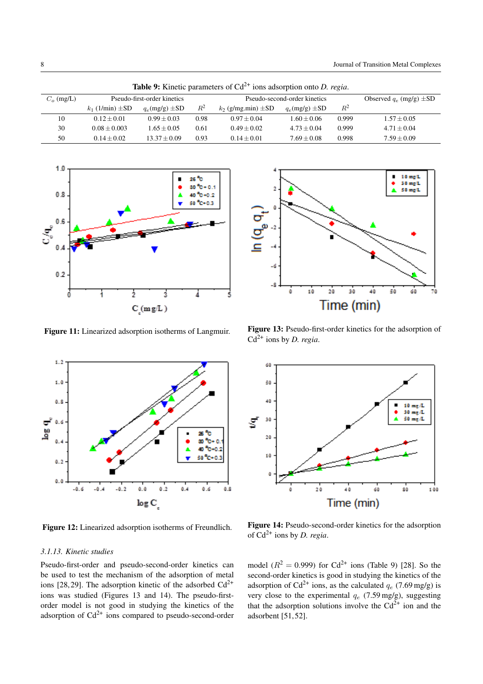| <b>Table 9:</b> Kinetic parameters of Cd <sup>-1</sup> ions adsorption onto <i>D. regia.</i> |                             |                       |       |                              |                       |       |                                |
|----------------------------------------------------------------------------------------------|-----------------------------|-----------------------|-------|------------------------------|-----------------------|-------|--------------------------------|
| $C_o$ (mg/L)                                                                                 | Pseudo-first-order kinetics |                       |       | Pseudo-second-order kinetics |                       |       | Observed $q_e$ (mg/g) $\pm SD$ |
|                                                                                              | $k_1$ (1/min) $\pm$ SD      | $q_e$ (mg/g) $\pm$ SD | $R^2$ | $k_2$ (g/mg.min) $\pm SD$    | $q_e$ (mg/g) $\pm$ SD | $R^2$ |                                |
| 10                                                                                           | $0.12 + 0.01$               | $0.99 + 0.03$         | 0.98  | $0.97 + 0.04$                | $1.60 + 0.06$         | 0.999 | $1.57 \pm 0.05$                |
| 30                                                                                           | $0.08 + 0.003$              | $1.65 + 0.05$         | 0.61  | $0.49 + 0.02$                | $4.73 + 0.04$         | 0.999 | $4.71 + 0.04$                  |
| 50                                                                                           | $0.14 + 0.02$               | $13.37 + 0.09$        | 0.93  | $0.14 + 0.01$                | $7.69 + 0.08$         | 0.998 | $7.59 + 0.09$                  |

<span id="page-7-4"></span>**Table 9:** Kinetic parameters of Cd<sup>2+</sup> ions adsorption onto *D. regia*.



<span id="page-7-0"></span>**Figure 11:** Linearized adsorption isotherms of Langmuir.



<span id="page-7-1"></span>**Figure 12:** Linearized adsorption isotherms of Freundlich.

#### *3.1.13. Kinetic studies*

Pseudo-first-order and pseudo-second-order kinetics can be used to test the mechanism of the adsorption of metal ions [\[28,](#page-9-8)[29\]](#page-9-9). The adsorption kinetic of the adsorbed  $Cd^{2+}$ ions was studied (Figures [13](#page-7-2) and [14\)](#page-7-3). The pseudo-firstorder model is not good in studying the kinetics of the adsorption of  $Cd^{2+}$  ions compared to pseudo-second-order



<span id="page-7-2"></span>**Figure 13:** Pseudo-first-order kinetics for the adsorption of  $Cd^{2+}$  ions by *D. regia*.



<span id="page-7-3"></span>**Figure 14:** Pseudo-second-order kinetics for the adsorption of  $Cd^{2+}$  ions by *D. regia.* 

model  $(R^2 = 0.999)$  for Cd<sup>2+</sup> ions (Table [9\)](#page-7-4) [\[28\]](#page-9-8). So the second-order kinetics is good in studying the kinetics of the adsorption of Cd<sup>2+</sup> ions, as the calculated  $q_e$  (7.69 mg/g) is very close to the experimental  $q_e$  (7.59 mg/g), suggesting that the adsorption solutions involve the  $Cd^{2+}$  ion and the adsorbent [\[51,](#page-9-31)[52\]](#page-9-32).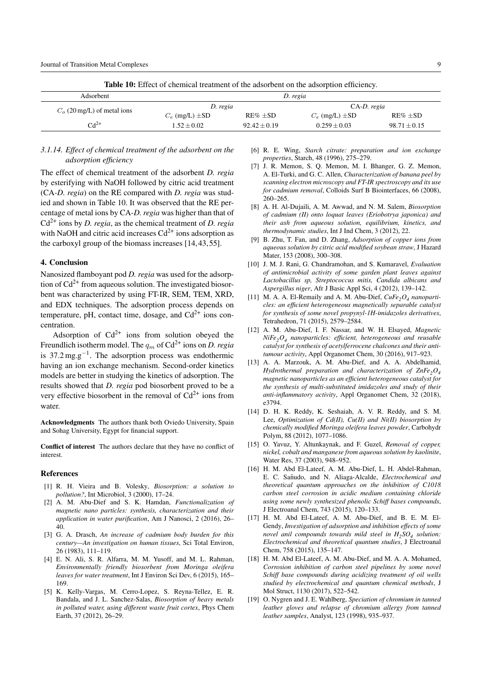<span id="page-8-20"></span>

| <b>Table 10:</b> Effect of chemical treatment of the adsorbent on the adsorption efficiency. |                       |                |                       |                  |  |  |  |
|----------------------------------------------------------------------------------------------|-----------------------|----------------|-----------------------|------------------|--|--|--|
| Adsorbent                                                                                    | D. regia              |                |                       |                  |  |  |  |
| $Co$ (20 mg/L) of metal ions                                                                 | D. regia              |                | CA-D. regia           |                  |  |  |  |
|                                                                                              | $C_e$ (mg/L) $\pm$ SD | $RE% + SD$     | $C_e$ (mg/L) $\pm$ SD | $RE\% \pm SD$    |  |  |  |
| $Cd^{2+}$                                                                                    | $1.52 + 0.02$         | $92.42 + 0.19$ | $0.259 + 0.03$        | $98.71 \pm 0.15$ |  |  |  |

# *3.1.14. Effect of chemical treatment of the adsorbent on the adsorption efficiency*

The effect of chemical treatment of the adsorbent *D. regia* by esterifying with NaOH followed by citric acid treatment (CA-*D. regia*) on the RE compared with *D. regia* was studied and shown in Table [10.](#page-8-20) It was observed that the RE percentage of metal ions by CA-*D. regia* was higher than that of Cd2+ ions by *D. regia*, as the chemical treatment of *D. regia* with NaOH and citric acid increases  $Cd^{2+}$  ions adsorption as the carboxyl group of the biomass increases [\[14,](#page-8-14)[43,](#page-9-23)[55\]](#page-9-35).

# <span id="page-8-0"></span>**4. Conclusion**

Nanosized flamboyant pod *D. regia* was used for the adsorption of  $Cd^{2+}$  from aqueous solution. The investigated biosorbent was characterized by using FT-IR, SEM, TEM, XRD, and EDX techniques. The adsorption process depends on temperature, pH, contact time, dosage, and  $Cd^{2+}$  ions concentration.

Adsorption of  $Cd^{2+}$  ions from solution obeyed the Freundlich isotherm model. The  $q_m$  of  $Cd^{2+}$  ions on *D. regia* is 37.2 mg.g*−*1. The adsorption process was endothermic having an ion exchange mechanism. Second-order kinetics models are better in studying the kinetics of adsorption. The results showed that *D. regia* pod biosorbent proved to be a very effective biosorbent in the removal of  $Cd^{2+}$  ions from water.

**Acknowledgments** The authors thank both Oviedo University, Spain and Sohag University, Egypt for financial support.

**Conflict of interest** The authors declare that they have no conflict of interest.

#### **References**

- <span id="page-8-1"></span>[1] R. H. Vieira and B. Volesky, *Biosorption: a solution to pollution?*, Int Microbiol, 3 (2000), 17–24.
- <span id="page-8-2"></span>[2] A. M. Abu-Dief and S. K. Hamdan, *Functionalization of magnetic nano particles: synthesis, characterization and their application in water purification*, Am J Nanosci, 2 (2016), 26– 40.
- <span id="page-8-3"></span>[3] G. A. Drasch, *An increase of cadmium body burden for this century—An investigation on human tissues*, Sci Total Environ, 26 (1983), 111–119.
- <span id="page-8-4"></span>[4] E. N. Ali, S. R. Alfarra, M. M. Yusoff, and M. L. Rahman, *Environmentally friendly biosorbent from Moringa oleifera leaves for water treatment*, Int J Environ Sci Dev, 6 (2015), 165– 169.
- <span id="page-8-5"></span>[5] K. Kelly-Vargas, M. Cerro-Lopez, S. Reyna-Tellez, E. R. Bandala, and J. L. Sanchez-Salas, *Biosorption of heavy metals in polluted water, using different waste fruit cortex*, Phys Chem Earth, 37 (2012), 26–29.
- <span id="page-8-6"></span>[6] R. E. Wing, *Starch citrate: preparation and ion exchange properties*, Starch, 48 (1996), 275–279.
- <span id="page-8-7"></span>[7] J. R. Memon, S. Q. Memon, M. I. Bhanger, G. Z. Memon, A. El-Turki, and G. C. Allen, *Characterization of banana peel by scanning electron microscopy and FT-IR spectroscopy and its use for cadmium removal*, Colloids Surf B Biointerfaces, 66 (2008), 260–265.
- <span id="page-8-8"></span>[8] A. H. Al-Dujaili, A. M. Awwad, and N. M. Salem, *Biosorption of cadmium (II) onto loquat leaves (Eriobotrya japonica) and their ash from aqueous solution, equilibrium, kinetics, and thermodynamic studies*, Int J Ind Chem, 3 (2012), 22.
- <span id="page-8-9"></span>[9] B. Zhu, T. Fan, and D. Zhang, *Adsorption of copper ions from aqueous solution by citric acid modified soybean straw*, J Hazard Mater, 153 (2008), 300–308.
- <span id="page-8-10"></span>[10] J. M. J. Rani, G. Chandramohan, and S. Kumaravel, *Evaluation of antimicrobial activity of some garden plant leaves against Lactobacillus sp, Streptococcus mitis, Candida albicans and Aspergillus niger*, Afr J Basic Appl Sci, 4 (2012), 139–142.
- <span id="page-8-11"></span>[11] M. A. A. El-Remaily and A. M. Abu-Dief,  $CuFe<sub>2</sub>O<sub>4</sub>$  *nanoparticles: an efficient heterogeneous magnetically separable catalyst for synthesis of some novel propynyl-1H-imidazoles derivatives*, Tetrahedron, 71 (2015), 2579–2584.
- <span id="page-8-12"></span>[12] A. M. Abu-Dief, I. F. Nassar, and W. H. Elsayed, *Magnetic NiFe2O4 nanoparticles: efficient, heterogeneous and reusable catalyst for synthesis of acetylferrocene chalcones and their antitumour activity*, Appl Organomet Chem, 30 (2016), 917–923.
- <span id="page-8-13"></span>[13] A. A. Marzouk, A. M. Abu-Dief, and A. A. Abdelhamid, *Hydrothermal preparation and characterization of ZnFe<sub>2</sub>O<sub>4</sub> magnetic nanoparticles as an efficient heterogeneous catalyst for the synthesis of multi-substituted imidazoles and study of their anti-inflammatory activity*, Appl Organomet Chem, 32 (2018), e3794.
- <span id="page-8-14"></span>[14] D. H. K. Reddy, K. Seshaiah, A. V. R. Reddy, and S. M. Lee, *Optimization of Cd(II), Cu(II) and Ni(II) biosorption by chemically modified Moringa oleifera leaves powder*, Carbohydr Polym, 88 (2012), 1077–1086.
- <span id="page-8-15"></span>[15] O. Yavuz, Y. Altunkaynak, and F. Guzel, *Removal of copper, nickel, cobalt and manganese from aqueous solution by kaolinite*, Water Res, 37 (2003), 948–952.
- <span id="page-8-16"></span>[16] H. M. Abd El-Lateef, A. M. Abu-Dief, L. H. Abdel-Rahman, E. C. Sanudo, and N. Aliaga-Alcalde, ˜ *Electrochemical and theoretical quantum approaches on the inhibition of C1018 carbon steel corrosion in acidic medium containing chloride using some newly synthesized phenolic Schiff bases compounds*, J Electroanal Chem, 743 (2015), 120–133.
- <span id="page-8-17"></span>[17] H. M. Abd El-Lateef, A. M. Abu-Dief, and B. E. M. El-Gendy, *Investigation of adsorption and inhibition effects of some novel anil compounds towards mild steel in H2SO4 solution: Electrochemical and theoretical quantum studies*, J Electroanal Chem, 758 (2015), 135–147.
- <span id="page-8-18"></span>[18] H. M. Abd El-Lateef, A. M. Abu-Dief, and M. A. A. Mohamed, *Corrosion inhibition of carbon steel pipelines by some novel Schiff base compounds during acidizing treatment of oil wells studied by electrochemical and quantum chemical methods*, J Mol Struct, 1130 (2017), 522–542.
- <span id="page-8-19"></span>[19] O. Nygren and J. E. Wahlberg, *Speciation of chromium in tanned leather gloves and relapse of chromium allergy from tanned leather samples*, Analyst, 123 (1998), 935–937.